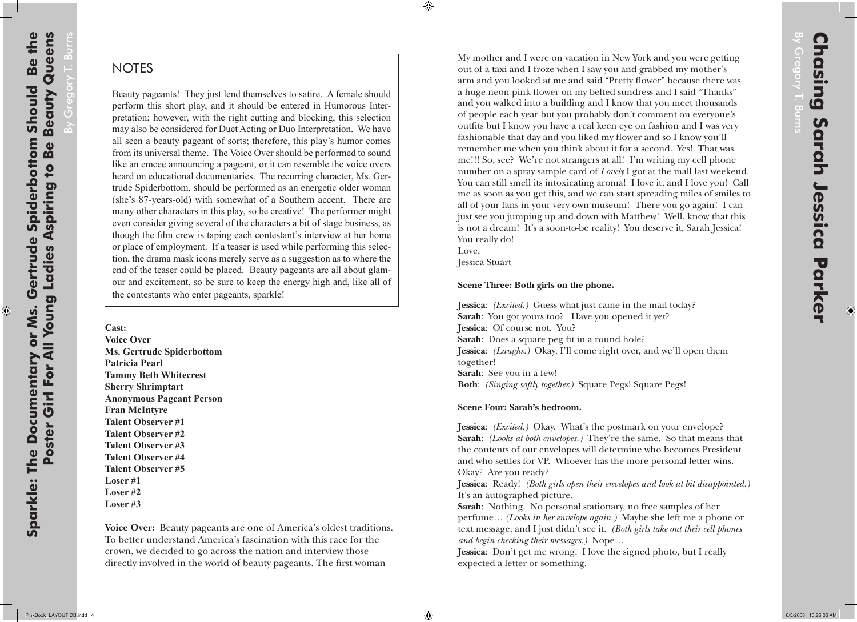۰

By Gregory T. Burns

## **NOTES**

Beauty pageants! They just lend themselves to satire. A female should perform this short play, and it should be entered in Humorous Interpretation; however, with the right cutting and blocking, this selection may also be considered for Duet Acting or Duo Interpretation. We have all seen a beauty pageant of sorts; therefore, this play's humor comes from its universal theme. The Voice Over should be performed to sound like an emcee announcing a pageant, or it can resemble the voice overs heard on educational documentaries. The recurring character, Ms. Gertrude Spiderbottom, should be performed as an energetic older woman (she's 87-years-old) with somewhat of a Southern accent. There are many other characters in this play, so be creative! The performer might even consider giving several of the characters a bit of stage business, as though the film crew is taping each contestant's interview at her home or place of employment. If a teaser is used while performing this selection, the drama mask icons merely serve as a suggestion as to where the end of the teaser could be placed. Beauty pageants are all about glamour and excitement, so be sure to keep the energy high and, like all of the contestants who enter pageants, sparkle!

**Cast: Voice Over Ms. Gertrude Spiderbottom Patricia Pearl Tammy Beth Whitecrest Sherry Shrimptart Anonymous Pageant Person Fran McIntyre Talent Observer #1 Talent Observer #2 Talent Observer #3 Talent Observer #4 Talent Observer #5 Loser #1 Loser #2 Loser #3**

**Voice Over:** Beauty pageants are one of America's oldest traditions. To better understand America's fascination with this race for the crown, we decided to go across the nation and interview those directly involved in the world of beauty pageants. The first woman

€